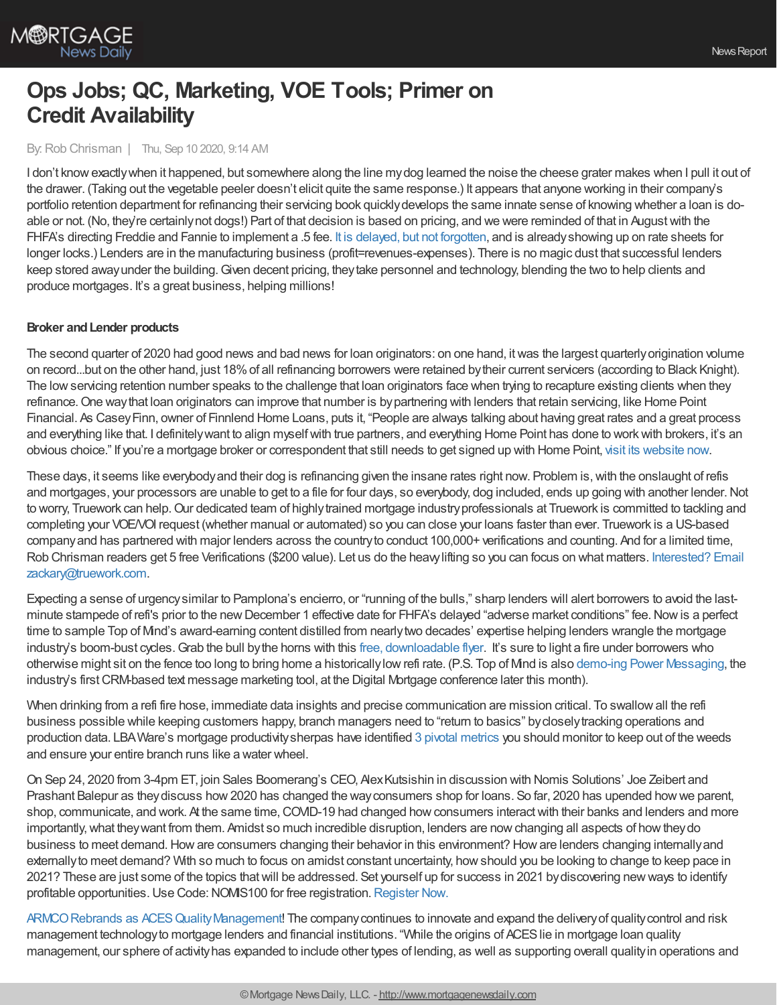

# **Ops Jobs; QC, Marketing, VOE Tools; Primer on Credit Availability**

By:Rob Chrisman | Thu, Sep 10 2020, 9:14 AM

I don't know exactly when it happened, but somewhere along the line mydog learned the noise the cheese grater makes when I pull it out of the drawer. (Taking out the vegetable peeler doesn't elicit quite the same response.) It appears that anyone working in their company's portfolio retention department for refinancing their servicing book quicklydevelops the same innate sense of knowing whether a loan is doable or not. (No, they're certainlynot dogs!) Part of that decision is based on pricing, and we were reminded of that in Augustwith the FHFA's directing Freddie and Fannie to implement a .5 fee. It is delayed, but not [forgotten](https://www.stratmorgroup.com/the-agency-refinance-fee-delayed-but-not-forgotten/), and is already showing up on rate sheets for longer locks.) Lenders are in the manufacturing business (profit=revenues-expenses). There is no magic dust that successful lenders keep stored away under the building. Given decent pricing, they take personnel and technology, blending the two to help clients and produce mortgages. It's a great business, helping millions!

## **Broker andLender products**

The second quarter of 2020 had good news and bad news for loan originators: on one hand, itwas the largest quarterlyorigination volume on record...but on the other hand, just 18%of all refinancing borrowers were retained bytheir current servicers (according to Black Knight). The low servicing retention number speaks to the challenge that loan originators face when trying to recapture existing clients when they refinance. One way that loan originators can improve that number is by partnering with lenders that retain servicing, like Home Point Financial. As CaseyFinn, owner of Finnlend Home Loans, puts it, "People are always talking about having great rates and a great process and everything like that. I definitelywant to align myselfwith true partners, and everything Home Point has done to workwith brokers, it's an obvious choice." If you're a mortgage broker or correspondent that still needs to get signed up with Home Point, visit its [website](https://tpo.homepointfinancial.com/) now.

These days, it seems like everybody and their dog is refinancing given the insane rates right now. Problem is, with the onslaught of refis and mortgages, your processors are unable to get to a file for four days, so everybody, dog included, ends up going with another lender.Not to worry, Truework can help. Our dedicated team of highly trained mortgage industry professionals at Truework is committed to tackling and completing your VOE/VOI request (whether manual or automated) so you can close your loans faster than ever. Truework is a US-based company and has partnered with major lenders across the country to conduct 100,000+ verifications and counting. And for a limited time, Rob Chrisman readers get 5 free Verifications (\$200 value). Let us do the heavylifting so you can focus on what matters. Interested? Email [zackary@truework.com.](https://l.linklyhq.com/l/64FR)

Expecting a sense of urgencysimilar to Pamplona's encierro, or "running of the bulls," sharp lenders will alert borrowers to avoid the lastminute stampede of refi's prior to the new December 1 effective date for FHFA's delayed "adverse market conditions" fee. Now is a perfect time to sample Top of Mind's award-earning content distilled from nearlytwo decades' expertise helping lenders wrangle the mortgage industry's boom-bust cycles. Grab the bull by the horns with this free, [downloadable](https://pages.topofmind.com/en/surefire-fhfa) flyer. It's sure to light a fire under borrowers who otherwise might sit on the fence too long to bring home a historicallylowrefi rate. (P.S. Top of Mind is also demo-ing Power [Messaging,](https://conference.nationalmortgagenews.com/digitalmortgage/agenda/session/323456) the industry's first CRM-based text message marketing tool, at the Digital Mortgage conference later this month).

When drinking from a refi fire hose, immediate data insights and precise communication are mission critical. To swallow all the refi business possible while keeping customers happy, branch managers need to "return to basics" bycloselytracking operations and production data. LBAWare's mortgage productivitysherpas have identified 3 pivotal [metrics](https://bit.ly/3jMDZ5g) you should monitor to keep out of the weeds and ensure your entire branch runs like a water wheel.

On Sep 24, 2020 from 3-4pm ET, join Sales Boomerang's CEO, AlexKutsishin in discussion with Nomis Solutions' Joe Zeibert and Prashant Balepur as theydiscuss how2020 has changed the wayconsumers shop for loans. So far, 2020 has upended howwe parent, shop, communicate, and work. At the same time, COVID-19 had changed how consumers interact with their banks and lenders and more importantly, what they want from them. Amidst so much incredible disruption, lenders are now changing all aspects of how they do business to meet demand.Howare consumers changing their behavior in this environment? Howare lenders changing internallyand externallyto meet demand? With so much to focus on amidst constant uncertainty, howshould you be looking to change to keep pace in 2021? These are just some of the topics thatwill be addressed. Set yourself up for success in 2021 bydiscovering newways to identify profitable opportunities. Use Code: NOMIS100 for free registration. [Register](https://hubs.ly/H0vbLbQ0?utm_campaign=Newsletter&utm_source=hs_email&utm_medium=email&_hsenc=p2ANqtz-9fHWRbZLD05RqAJ3XlDE4SBuvhkIS8ay6h1FaLwrDYO-zpuSaPsaHjUY-mI7v1vsEoNUZR) Now.

ARMCO Rebrands as ACES Quality Management! The company continues to innovate and expand the delivery of quality control and risk management technologyto mortgage lenders and financial institutions. "While the origins of ACESlie in mortgage loan quality management, our sphere of activityhas expanded to include other types of lending, as well as supporting overall qualityin operations and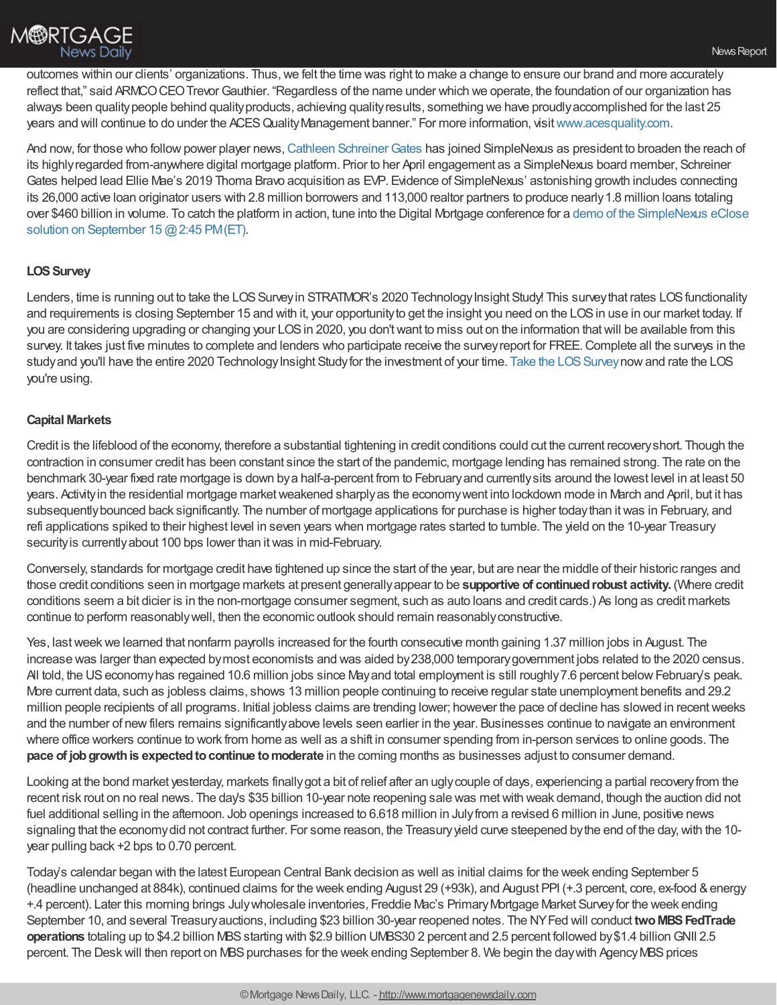

outcomes within our clients' organizations. Thus,we felt the time was right to make a change to ensure our brand and more accurately reflect that," said ARMCO CEO Trevor Gauthier. "Regardless of the name under which we operate, the foundation of our organization has always been quality people behind quality products, achieving quality results, something we have proudly accomplished for the last 25 years and will continue to do under the ACES Quality Management banner." For more information, visit [www.acesquality.com](https://bit.ly/2FnBYx7).

And now, for those who follow power player news, Cathleen Schreiner Gates has joined SimpleNexus as president to broaden the reach of its highlyregarded from-anywhere digital mortgage platform. Prior to her April engagement as a SimpleNexus board member, Schreiner Gates helped lead Ellie Mae's 2019 Thoma Bravo acquisition as EVP. Evidence of SimpleNexus' astonishing growth includes connecting its 26,000 active loan originator users with 2.8 million borrowers and 113,000 realtor partners to produce nearly 1.8 million loans totaling over \$460 billion in volume. To catch the platform in action, tune into the Digital Mortgage conference for a demo of the [SimpleNexus](https://bit.ly/3hhTLDg) eClose solution on September 15 @ 2:45 PM (ET).

## **LOS Survey**

Lenders, time is running out to take the LOS Survey in STRATMOR's 2020 Technology Insight Study! This survey that rates LOS functionality and requirements is closing September 15 and with it, your opportunity to get the insight you need on the LOS in use in our market today. If you are considering upgrading or changing your LOS in 2020, you don't want to miss out on the information that will be available from this survey. It takes just five minutes to complete and lenders who participate receive the surveyreport for FREE.Complete all the surveys in the study and you'll have the entire 2020 Technology Insight Study for the investment of your time. Take the LOS Survey now and rate the LOS you're using.

#### **Capital Markets**

Credit is the lifeblood of the economy, therefore a substantial tightening in credit conditions could cut the current recoveryshort. Though the contraction in consumer credit has been constant since the start of the pandemic, mortgage lending has remained strong. The rate on the benchmark 30-year fixed rate mortgage is down bya half-a-percent from to Februaryand currentlysits around the lowest level in at least 50 years. Activity in the residential mortgage market weakened sharply as the economy went into lockdown mode in March and April, but it has subsequently bounced back significantly. The number of mortgage applications for purchase is higher today than it was in February, and refi applications spiked to their highest level in seven years when mortgage rates started to tumble. The yield on the 10-year Treasury security is currently about 100 bps lower than it was in mid-February.

Conversely, standards for mortgage credit have tightened up since the start of the year, but are near the middle of their historic ranges and those credit conditions seen in mortgage markets at present generallyappear to be **supportive of continuedrobust activity.** (Where credit conditions seem a bit dicier is in the non-mortgage consumer segment, such as auto loans and credit cards.) As long as credit markets continue to perform reasonablywell, then the economic outlook should remain reasonablyconstructive.

Yes, lastweekwe learned that nonfarm payrolls increased for the fourth consecutive month gaining 1.37 million jobs in August. The increase was larger than expected bymost economists and was aided by238,000 temporarygovernment jobs related to the 2020 census. All told, the US economy has regained 10.6 million jobs since May and total employment is still roughly 7.6 percent below February's peak. More current data, such as jobless claims, shows 13 million people continuing to receive regular state unemployment benefits and 29.2 million people recipients of all programs. Initial jobless claims are trending lower; however the pace of decline has slowed in recentweeks and the number of newfilers remains significantlyabove levels seen earlier in the year. Businesses continue to navigate an environment where office workers continue to work from home as well as a shift in consumer spending from in-person services to online goods. The **pace of job growth is expected to continue to moderate** in the coming months as businesses adjust to consumer demand.

Looking at the bond market yesterday, markets finallygot a bit of relief after an uglycouple of days, experiencing a partial recoveryfrom the recent risk rout on no real news. The day's \$35 billion 10-year note reopening sale was metwith weak demand, though the auction did not fuel additional selling in the afternoon. Job openings increased to 6.618 million in Julyfrom a revised 6 million in June, positive news signaling that the economydid not contract further. For some reason, the Treasuryyield curve steepened bythe end of the day,with the 10 year pulling back +2 bps to 0.70 percent.

Today's calendar began with the latest European Central Bank decision as well as initial claims for the week ending September 5 (headline unchanged at 884k), continued claims for the week ending August 29 (+93k), and August PPI (+.3 percent, core, ex-food &energy +.4 percent). Later this morning brings Julywholesale inventories, Freddie Mac's PrimaryMortgage Market Surveyfor the week ending September 10, and several Treasury auctions, including \$23 billion 30-year reopened notes. The NYFed will conduct two MBS FedTrade **operations** totaling up to \$4.2 billion MBS starting with \$2.9 billion UMBS30 2 percent and 2.5 percent followed by \$1.4 billion GNII 2.5 percent. The Desk will then report on MBS purchases for the week ending September 8. We begin the day with Agency MBS prices